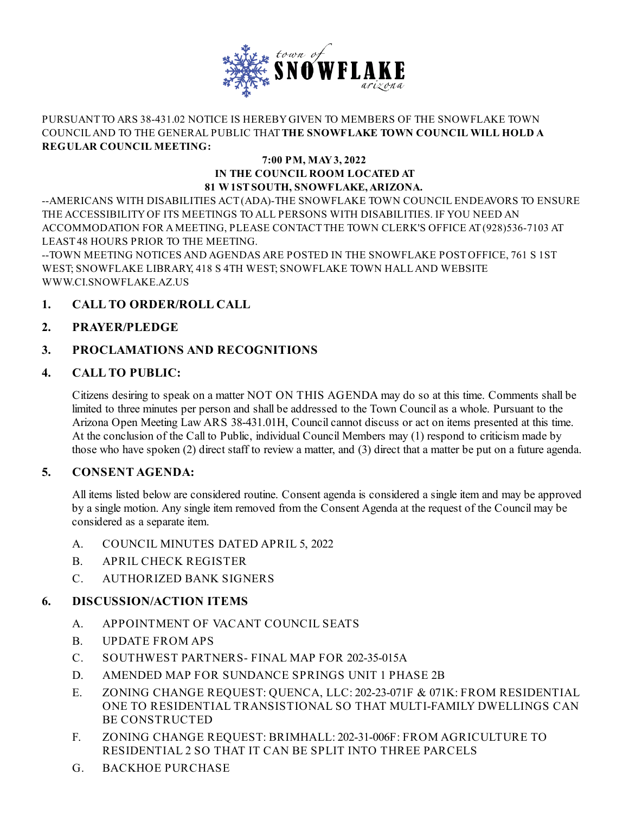

#### PURSUANT TO ARS 38-431.02 NOTICE IS HEREBYGIVEN TO MEMBERS OF THE SNOWFLAKE TOWN COUNCILAND TO THE GENERAL PUBLIC THAT**THE SNOWFLAKE TOWN COUNCIL WILL HOLD A REGULAR COUNCIL MEETING:**

#### **7:00 PM, MAY3, 2022 IN THE COUNCIL ROOM LOCATED AT 81 W1STSOUTH, SNOWFLAKE,ARIZONA.**

--AMERICANS WITH DISABILITIES ACT(ADA)-THE SNOWFLAKE TOWN COUNCIL ENDEAVORS TO ENSURE THE ACCESSIBILITYOF ITS MEETINGS TO ALL PERSONS WITH DISABILITIES. IF YOU NEED AN ACCOMMODATION FOR AMEETING, PLEASE CONTACT THE TOWN CLERK'S OFFICE AT(928)536-7103 AT LEAST48 HOURS PRIOR TO THE MEETING.

--TOWN MEETING NOTICES AND AGENDAS ARE POSTED IN THE SNOWFLAKE POSTOFFICE, 761 S 1ST WEST; SNOWFLAKE LIBRARY, 418 S 4TH WEST; SNOWFLAKE TOWN HALLAND WEBSITE [WWW.CI.SNOWFLAKE.AZ.US](http://www.ci.snowflake.az.us)

# **1. CALL TO ORDER/ROLL CALL**

# **2. PRAYER/PLEDGE**

# **3. PROCLAMATIONS AND RECOGNITIONS**

### **4. CALL TO PUBLIC:**

Citizens desiring to speak on a matter NOT ON THIS AGENDA may do so at this time. Comments shall be limited to three minutes per person and shall be addressed to the Town Councilas a whole. Pursuant to the Arizona Open Meeting Law ARS 38-431.01H, Council cannot discuss or act on items presented at this time. At the conclusion of the Call to Public, individual Council Members may (1) respond to criticism made by those who have spoken (2) direct staff to review a matter, and (3) direct that a matter be put on a future agenda.

### **5. CONSENT AGENDA:**

All items listed below are considered routine. Consent agenda is considered a single item and may be approved by a single motion. Any single item removed from the Consent Agenda at the request of the Council may be considered as a separate item.

- A. [COUNCIL](file:///C:/Windows/TEMP/CoverSheet.aspx?ItemID=663&MeetingID=65) MINUTES DATED APRIL 5, 2022
- B. APRIL CHECK [REGISTER](file:///C:/Windows/TEMP/CoverSheet.aspx?ItemID=664&MeetingID=65)
- C. [AUTHORIZED](file:///C:/Windows/TEMP/CoverSheet.aspx?ItemID=662&MeetingID=65) BANK SIGNERS

### **6. DISCUSSION/ACTION ITEMS**

- A. [APPOINTMENT](file:///C:/Windows/TEMP/CoverSheet.aspx?ItemID=665&MeetingID=65) OF VACANT COUNCIL SEATS
- B. [UPDATE](file:///C:/Windows/TEMP/CoverSheet.aspx?ItemID=669&MeetingID=65) FROM APS
- C. [SOUTHWEST](file:///C:/Windows/TEMP/CoverSheet.aspx?ItemID=655&MeetingID=65) PARTNERS- FINAL MAP FOR 202-35-015A
- D. AMENDED MAP FOR [SUNDANCE](file:///C:/Windows/TEMP/CoverSheet.aspx?ItemID=656&MeetingID=65) SPRINGS UNIT 1 PHASE 2B
- E. ZONING CHANGE REQUEST: QUENCA, LLC: 202-23-071F & 071K: FROM RESIDENTIAL ONE TO RESIDENTIAL [TRANSISTIONAL](file:///C:/Windows/TEMP/CoverSheet.aspx?ItemID=657&MeetingID=65) SO THAT MULTI-FAMILY DWELLINGS CAN BE CONSTRUCTED
- F. ZONING CHANGE REQUEST: BRIMHALL: 202-31-006F: FROM [AGRICULTURE](file:///C:/Windows/TEMP/CoverSheet.aspx?ItemID=658&MeetingID=65) TO RESIDENTIAL 2 SO THAT IT CAN BE SPLIT INTO THREE PARCELS
- G. BACKHOE [PURCHASE](file:///C:/Windows/TEMP/CoverSheet.aspx?ItemID=654&MeetingID=65)